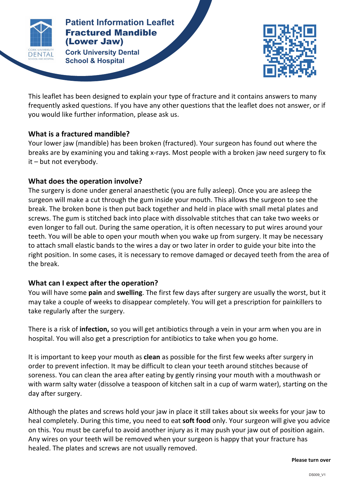

**Patients Patient Information Leaflet** Fractured Mandible (Lower Jaw)

**FRACTURED 
MANDIBLE (LOWER 
JAW) Cork University Dental School & Hospital**



This leaflet has been designed to explain your type of fracture and it contains answers to many frequently asked questions. If you have any other questions that the leaflet does not answer, or if you would like further information, please ask us.

### **What is a fractured mandible?**

Your lower jaw (mandible) has been broken (fractured). Your surgeon has found out where the breaks are by examining you and taking x-rays. Most people with a broken jaw need surgery to fix  $it$  – but not everybody.

# **What does the operation involve?**

The surgery is done under general anaesthetic (you are fully asleep). Once you are asleep the surgeon will make a cut through the gum inside your mouth. This allows the surgeon to see the break. The broken bone is then put back together and held in place with small metal plates and screws. The gum is stitched back into place with dissolvable stitches that can take two weeks or even longer to fall out. During the same operation, it is often necessary to put wires around your teeth. You will be able to open your mouth when you wake up from surgery. It may be necessary to attach small elastic bands to the wires a day or two later in order to guide your bite into the right position. In some cases, it is necessary to remove damaged or decayed teeth from the area of the break.

# **What can I expect after the operation?**

You will have some **pain** and **swelling**. The first few days after surgery are usually the worst, but it may take a couple of weeks to disappear completely. You will get a prescription for painkillers to take regularly after the surgery.

There is a risk of **infection**, so you will get antibiotics through a vein in your arm when you are in hospital. You will also get a prescription for antibiotics to take when you go home.

It is important to keep your mouth as **clean** as possible for the first few weeks after surgery in order to prevent infection. It may be difficult to clean your teeth around stitches because of soreness. You can clean the area after eating by gently rinsing your mouth with a mouthwash or with warm salty water (dissolve a teaspoon of kitchen salt in a cup of warm water), starting on the day after surgery.

Although the plates and screws hold your jaw in place it still takes about six weeks for your jaw to heal completely. During this time, you need to eat **soft food** only. Your surgeon will give you advice on this. You must be careful to avoid another injury as it may push your jaw out of position again. Any wires on your teeth will be removed when your surgeon is happy that your fracture has healed. The plates and screws are not usually removed.